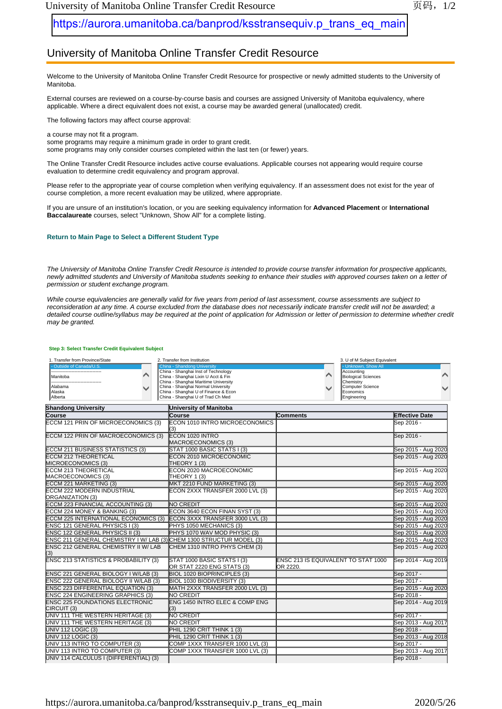## [https://aurora.umanitoba.ca/banprod/ksstransequiv.p\\_trans\\_eq\\_main](https://aurora.umanitoba.ca/banprod/ksstransequiv.p_trans_eq_main)

## University of Manitoba Online Transfer Credit Resource

Welcome to the University of Manitoba Online Transfer Credit Resource for prospective or newly admitted students to the University of Manitoba.

External courses are reviewed on a course-by-course basis and courses are assigned University of Manitoba equivalency, where applicable. Where a direct equivalent does not exist, a course may be awarded general (unallocated) credit.

The following factors may affect course approval:

a course may not fit a program. some programs may require a minimum grade in order to grant credit. some programs may only consider courses completed within the last ten (or fewer) years.

The Online Transfer Credit Resource includes active course evaluations. Applicable courses not appearing would require course evaluation to determine credit equivalency and program approval.

Please refer to the appropriate year of course completion when verifying equivalency. If an assessment does not exist for the year of course completion, a more recent evaluation may be utilized, where appropriate.

If you are unsure of an institution's location, or you are seeking equivalency information for **Advanced Placement** or **International Baccalaureate** courses, select "Unknown, Show All" for a complete listing.

## **Return to Main Page to Select a Different Student Type**

*The University of Manitoba Online Transfer Credit Resource is intended to provide course transfer information for prospective applicants,*  newly admitted students and University of Manitoba students seeking to enhance their studies with approved courses taken on a letter of *permission or student exchange program.*

*While course equivalencies are generally valid for five years from period of last assessment, course assessments are subject to reconsideration at any time. A course excluded from the database does not necessarily indicate transfer credit will not be awarded; a*  detailed course outline/syllabus may be required at the point of application for Admission or letter of permission to determine whether credit *may be granted.*

## **Step 3: Select Transfer Credit Equivalent Subject**

| 1. Transfer from Province/State                                      | 2. Transfer from Institution                                               | 3. U of M Subject Equivalent               |                       |
|----------------------------------------------------------------------|----------------------------------------------------------------------------|--------------------------------------------|-----------------------|
| Outside of Canada/U.S.                                               | <b>China - Shandong University</b>                                         | - Unknown, Show All                        |                       |
|                                                                      | China - Shanghai Inst of Technology                                        | Accounting                                 |                       |
| Manitoba                                                             | China - Shanghai Lixin U Acct & Fin                                        | <b>Biological Sciences</b>                 |                       |
|                                                                      | China - Shanghai Maritime University                                       | Chemistry                                  |                       |
| Alabama<br>Alaska                                                    | China - Shanghai Normal University<br>China - Shanghai U of Finance & Econ | Computer Science<br>Economics              |                       |
| Alberta                                                              | China - Shanghai U of Trad Ch Med                                          | Engineering                                |                       |
| <b>Shandong University</b>                                           | University of Manitoba                                                     |                                            |                       |
| <b>Course</b>                                                        | Course                                                                     | <b>Comments</b>                            | <b>Effective Date</b> |
| <b>ECCM 121 PRIN OF MICROECONOMICS (3)</b>                           | ECON 1010 INTRO MICROECONOMICS<br>(3)                                      |                                            | Sep 2016 -            |
| ECCM 122 PRIN OF MACROECONOMICS (3)                                  | <b>IECON 1020 INTRO</b><br>MACROECONOMICS (3)                              |                                            | Sep 2016 -            |
| <b>ECCM 211 BUSINESS STATISTICS (3)</b>                              | STAT 1000 BASIC STATS I (3)                                                |                                            | Sep 2015 - Aug 2020   |
| <b>ECCM 212 THEORETICAL</b>                                          | ECON 2010 MICROECONOMIC                                                    |                                            | Sep 2015 - Aug 2020   |
| MICROECONOMICS (3)                                                   | THEORY 1 (3)                                                               |                                            |                       |
| <b>ECCM 213 THEORETICAL</b>                                          | ECON 2020 MACROECONOMIC                                                    |                                            | Sep 2015 - Aug 2020   |
| MACROECONOMICS (3)                                                   | THEORY 1 (3)                                                               |                                            |                       |
| <b>ECCM 221 MARKETING (3)</b>                                        | MKT 2210 FUND MARKETING (3)                                                |                                            | Sep 2015 - Aug 2020   |
| <b>ECCM 222 MODERN INDUSTRIAL</b>                                    | ECON 2XXX TRANSFER 2000 LVL (3)                                            |                                            | Sep 2015 - Aug 2020   |
| <b>ORGANIZATION (3)</b>                                              |                                                                            |                                            |                       |
| <b>ECCM 223 FINANCIAL ACCOUNTING (3)</b>                             | <b>NO CREDIT</b>                                                           |                                            | Sep 2015 - Aug 2020   |
| ECCM 224 MONEY & BANKING (3)                                         | ECON 3640 ECON FINAN SYST (3)                                              |                                            | Sep 2015 - Aug 2020   |
| <b>ECCM 225 INTERNATIONAL ECONOMICS (3)</b>                          | ECON 3XXX TRANSFER 3000 LVL (3)                                            |                                            | Sep 2015 - Aug 2020   |
| ENSC 121 GENERAL PHYSICS I (3)                                       | PHYS 1050 MECHANICS (3)                                                    |                                            | Sep 2015 - Aug 2020   |
| <b>ENSC 122 GENERAL PHYSICS II (3)</b>                               | PHYS 1070 WAV MOD PHYSIC (3)                                               |                                            | Sep 2015 - Aug 2020   |
| ENSC 211 GENERAL CHEMISTRY I W/ LAB (3) CHEM 1300 STRUCTUR MODEL (3) |                                                                            |                                            | Sep 2015 - Aug 2020   |
| ENSC 212 GENERAL CHEMISTRY II W/ LAB<br>(3)                          | CHEM 1310 INTRO PHYS CHEM (3)                                              |                                            | Sep 2015 - Aug 2020   |
| <b>ENSC 213 STATISTICS &amp; PROBABILITY (3)</b>                     | STAT 1000 BASIC STATS I (3)                                                | <b>ENSC 213 IS EQUIVALENT TO STAT 1000</b> | Sep 2014 - Aug 2019   |
|                                                                      | OR STAT 2220 ENG STATS (3)                                                 | OR 2220.                                   |                       |
| ENSC 221 GENERAL BIOLOGY I W/LAB (3)                                 | BIOL 1020 BIOPRINCIPLES (3)                                                |                                            | Sep 2017 -            |
| ENSC 222 GENERAL BIOLOGY II W/LAB (3)                                | <b>BIOL 1030 BIODIVERSITY (3)</b>                                          |                                            | Sep 2017 -            |
| <b>ENSC 223 DIFFERENTIAL EQUATION (3)</b>                            | MATH 2XXX TRANSFER 2000 LVL (3)                                            |                                            | Sep 2015 - Aug 2020   |
| <b>ENSC 224 ENGINEERING GRAPHICS (3)</b>                             | <b>NO CREDIT</b>                                                           |                                            | Sep 2018 -            |
| <b>ENSC 225 FOUNDATIONS ELECTRONIC</b><br>CIRCUIT (3)                | ENG 1450 INTRO ELEC & COMP ENG<br>(3)                                      |                                            | Sep 2014 - Aug 2019   |
| UNIV 111 THE WESTERN HERITAGE (3)                                    | <b>NO CREDIT</b>                                                           |                                            | Sep 2017 -            |
| UNIV 111 THE WESTERN HERITAGE (3)                                    | <b>NO CREDIT</b>                                                           |                                            | Sep 2013 - Aug 2017   |
| <b>UNIV 112 LOGIC (3)</b>                                            | PHIL 1290 CRIT THINK 1 (3)                                                 |                                            | Sep 2018 -            |
| <b>UNIV 112 LOGIC (3)</b>                                            | PHIL 1290 CRIT THINK 1 (3)                                                 |                                            | Sep 2013 - Aug 2018   |
| UNIV 113 INTRO TO COMPUTER (3)                                       | COMP 1XXX TRANSFER 1000 LVL (3)                                            |                                            | Sep 2017 -            |
| UNIV 113 INTRO TO COMPUTER (3)                                       | COMP 1XXX TRANSFER 1000 LVL (3)                                            |                                            | Sep 2013 - Aug 2017   |
| UNIV 114 CALCULUS I (DIFFERENTIAL) (3)                               |                                                                            |                                            | Sep 2018 -            |